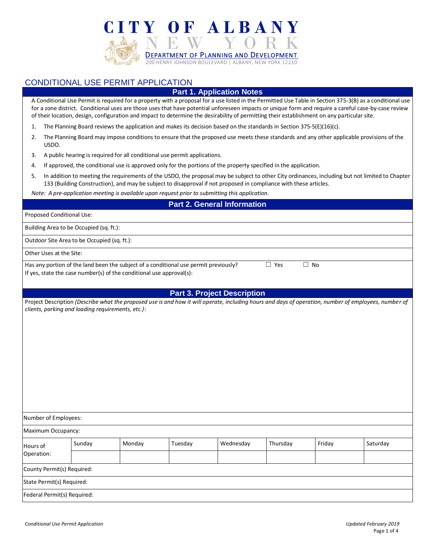

# CONDITIONAL USE PERMIT APPLICATION

### **Part 1. Application Notes**

A Conditional Use Permit is required for a property with a proposal for a use listed in the Permitted Use Table in Section 375-3(B) as a conditional use for a zone district. Conditional uses are those uses that have potential unforeseen impacts or unique form and require a careful case-by-case review of their location, design, configuration and impact to determine the desirability of permitting their establishment on any particular site.

- 1. The Planning Board reviews the application and makes its decision based on the standards in Section 375-5(E)(16)(c).
- 2. The Planning Board may impose conditions to ensure that the proposed use meets these standards and any other applicable provisions of the USDO.
- 3. A public hearing is required for all conditional use permit applications.
- 4. If approved, the conditional use is approved only for the portions of the property specified in the application.
- 5. In addition to meeting the requirements of the USDO, the proposal may be subject to other City ordinances, including but not limited to Chapter 133 (Building Construction), and may be subject to disapproval if not proposed in compliance with these articles.

*Note: A pre-application meeting is available upon request prior to submitting this application.*

#### **Part 2. General Information**

| <b>Proposed Conditional Use:</b>        |  |  |  |
|-----------------------------------------|--|--|--|
| Building Area to be Occupied (sq. ft.): |  |  |  |

Outdoor Site Area to be Occupied (sq. ft.):

Other Uses at the Site:

Has any portion of the land been the subject of a conditional use permit previously?  $□$  Yes  $□$  No If yes, state the case number(s) of the conditional use approval(s):

#### **Part 3. Project Description**

| Project Description (Describe what the proposed use is and how it will operate, including hours and days of operation, number of employees, number of |  |
|-------------------------------------------------------------------------------------------------------------------------------------------------------|--|
| clients, parking and loading requirements, etc.):                                                                                                     |  |

| Number of Employees:        |        |        |         |           |          |        |          |
|-----------------------------|--------|--------|---------|-----------|----------|--------|----------|
| Maximum Occupancy:          |        |        |         |           |          |        |          |
| Hours of                    | Sunday | Monday | Tuesday | Wednesday | Thursday | Friday | Saturday |
| Operation:                  |        |        |         |           |          |        |          |
| County Permit(s) Required:  |        |        |         |           |          |        |          |
| State Permit(s) Required:   |        |        |         |           |          |        |          |
| Federal Permit(s) Required: |        |        |         |           |          |        |          |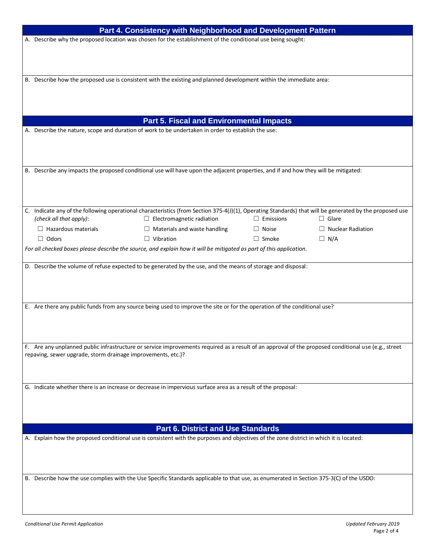|                                                                                                                                         | Part 4. Consistency with Neighborhood and Development Pattern                                                                           |                                                                                                                                                         |                  |                          |  |  |  |
|-----------------------------------------------------------------------------------------------------------------------------------------|-----------------------------------------------------------------------------------------------------------------------------------------|---------------------------------------------------------------------------------------------------------------------------------------------------------|------------------|--------------------------|--|--|--|
|                                                                                                                                         | A. Describe why the proposed location was chosen for the establishment of the conditional use being sought:                             |                                                                                                                                                         |                  |                          |  |  |  |
|                                                                                                                                         |                                                                                                                                         |                                                                                                                                                         |                  |                          |  |  |  |
|                                                                                                                                         |                                                                                                                                         |                                                                                                                                                         |                  |                          |  |  |  |
|                                                                                                                                         |                                                                                                                                         |                                                                                                                                                         |                  |                          |  |  |  |
|                                                                                                                                         |                                                                                                                                         | B. Describe how the proposed use is consistent with the existing and planned development within the immediate area:                                     |                  |                          |  |  |  |
|                                                                                                                                         |                                                                                                                                         |                                                                                                                                                         |                  |                          |  |  |  |
|                                                                                                                                         |                                                                                                                                         |                                                                                                                                                         |                  |                          |  |  |  |
|                                                                                                                                         |                                                                                                                                         |                                                                                                                                                         |                  |                          |  |  |  |
|                                                                                                                                         |                                                                                                                                         |                                                                                                                                                         |                  |                          |  |  |  |
|                                                                                                                                         |                                                                                                                                         | <b>Part 5. Fiscal and Environmental Impacts</b>                                                                                                         |                  |                          |  |  |  |
|                                                                                                                                         |                                                                                                                                         | A. Describe the nature, scope and duration of work to be undertaken in order to establish the use:                                                      |                  |                          |  |  |  |
|                                                                                                                                         |                                                                                                                                         |                                                                                                                                                         |                  |                          |  |  |  |
|                                                                                                                                         |                                                                                                                                         |                                                                                                                                                         |                  |                          |  |  |  |
|                                                                                                                                         |                                                                                                                                         |                                                                                                                                                         |                  |                          |  |  |  |
|                                                                                                                                         |                                                                                                                                         | B. Describe any impacts the proposed conditional use will have upon the adjacent properties, and if and how they will be mitigated:                     |                  |                          |  |  |  |
|                                                                                                                                         |                                                                                                                                         |                                                                                                                                                         |                  |                          |  |  |  |
|                                                                                                                                         |                                                                                                                                         |                                                                                                                                                         |                  |                          |  |  |  |
|                                                                                                                                         |                                                                                                                                         |                                                                                                                                                         |                  |                          |  |  |  |
|                                                                                                                                         |                                                                                                                                         | C. Indicate any of the following operational characteristics (from Section 375-4(J)(1), Operating Standards) that will be generated by the proposed use |                  |                          |  |  |  |
|                                                                                                                                         | (check all that apply):                                                                                                                 | $\Box$ Electromagnetic radiation                                                                                                                        | $\Box$ Emissions | $\Box$ Glare             |  |  |  |
|                                                                                                                                         | $\Box$ Hazardous materials                                                                                                              | $\Box$ Materials and waste handling                                                                                                                     | $\Box$ Noise     | $\Box$ Nuclear Radiation |  |  |  |
|                                                                                                                                         | $\Box$ Odors                                                                                                                            | $\Box$ Vibration                                                                                                                                        | $\Box$ Smoke     | $\Box$ N/A               |  |  |  |
|                                                                                                                                         |                                                                                                                                         | For all checked boxes please describe the source, and explain how it will be mitigated as part of this application.                                     |                  |                          |  |  |  |
|                                                                                                                                         |                                                                                                                                         |                                                                                                                                                         |                  |                          |  |  |  |
|                                                                                                                                         |                                                                                                                                         | D. Describe the volume of refuse expected to be generated by the use, and the means of storage and disposal:                                            |                  |                          |  |  |  |
|                                                                                                                                         |                                                                                                                                         |                                                                                                                                                         |                  |                          |  |  |  |
|                                                                                                                                         |                                                                                                                                         |                                                                                                                                                         |                  |                          |  |  |  |
|                                                                                                                                         |                                                                                                                                         |                                                                                                                                                         |                  |                          |  |  |  |
|                                                                                                                                         |                                                                                                                                         | E. Are there any public funds from any source being used to improve the site or for the operation of the conditional use?                               |                  |                          |  |  |  |
|                                                                                                                                         |                                                                                                                                         |                                                                                                                                                         |                  |                          |  |  |  |
|                                                                                                                                         |                                                                                                                                         |                                                                                                                                                         |                  |                          |  |  |  |
|                                                                                                                                         |                                                                                                                                         |                                                                                                                                                         |                  |                          |  |  |  |
|                                                                                                                                         |                                                                                                                                         |                                                                                                                                                         |                  |                          |  |  |  |
|                                                                                                                                         | repaving, sewer upgrade, storm drainage improvements, etc.)?                                                                            | F. Are any unplanned public infrastructure or service improvements required as a result of an approval of the proposed conditional use (e.g., street    |                  |                          |  |  |  |
|                                                                                                                                         |                                                                                                                                         |                                                                                                                                                         |                  |                          |  |  |  |
|                                                                                                                                         |                                                                                                                                         |                                                                                                                                                         |                  |                          |  |  |  |
|                                                                                                                                         |                                                                                                                                         |                                                                                                                                                         |                  |                          |  |  |  |
|                                                                                                                                         |                                                                                                                                         | G. Indicate whether there is an increase or decrease in impervious surface area as a result of the proposal:                                            |                  |                          |  |  |  |
|                                                                                                                                         |                                                                                                                                         |                                                                                                                                                         |                  |                          |  |  |  |
|                                                                                                                                         |                                                                                                                                         |                                                                                                                                                         |                  |                          |  |  |  |
|                                                                                                                                         |                                                                                                                                         |                                                                                                                                                         |                  |                          |  |  |  |
| <b>Part 6. District and Use Standards</b>                                                                                               |                                                                                                                                         |                                                                                                                                                         |                  |                          |  |  |  |
| A. Explain how the proposed conditional use is consistent with the purposes and objectives of the zone district in which it is located: |                                                                                                                                         |                                                                                                                                                         |                  |                          |  |  |  |
|                                                                                                                                         |                                                                                                                                         |                                                                                                                                                         |                  |                          |  |  |  |
|                                                                                                                                         |                                                                                                                                         |                                                                                                                                                         |                  |                          |  |  |  |
|                                                                                                                                         |                                                                                                                                         |                                                                                                                                                         |                  |                          |  |  |  |
|                                                                                                                                         |                                                                                                                                         |                                                                                                                                                         |                  |                          |  |  |  |
|                                                                                                                                         | B. Describe how the use complies with the Use Specific Standards applicable to that use, as enumerated in Section 375-3(C) of the USDO: |                                                                                                                                                         |                  |                          |  |  |  |
|                                                                                                                                         |                                                                                                                                         |                                                                                                                                                         |                  |                          |  |  |  |
|                                                                                                                                         |                                                                                                                                         |                                                                                                                                                         |                  |                          |  |  |  |
|                                                                                                                                         |                                                                                                                                         |                                                                                                                                                         |                  |                          |  |  |  |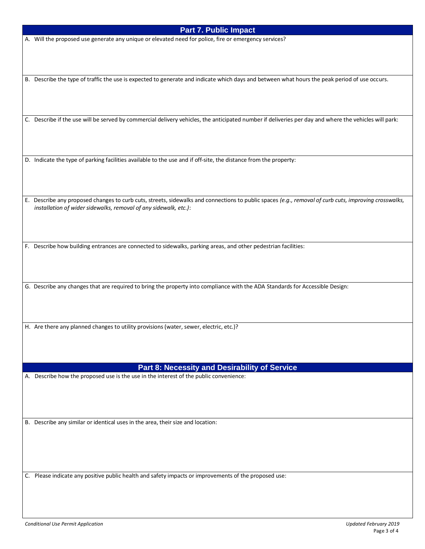## **Part 7. Public Impact**

A. Will the proposed use generate any unique or elevated need for police, fire or emergency services?

B. Describe the type of traffic the use is expected to generate and indicate which days and between what hours the peak period of use occurs.

C. Describe if the use will be served by commercial delivery vehicles, the anticipated number if deliveries per day and where the vehicles will park:

D. Indicate the type of parking facilities available to the use and if off-site, the distance from the property:

E. Describe any proposed changes to curb cuts, streets, sidewalks and connections to public spaces *(e.g., removal of curb cuts, improving crosswalks, installation of wider sidewalks, removal of any sidewalk, etc.)*:

F. Describe how building entrances are connected to sidewalks, parking areas, and other pedestrian facilities:

G. Describe any changes that are required to bring the property into compliance with the ADA Standards for Accessible Design:

H. Are there any planned changes to utility provisions (water, sewer, electric, etc.)?

### **Part 8: Necessity and Desirability of Service**

A. Describe how the proposed use is the use in the interest of the public convenience:

B. Describe any similar or identical uses in the area, their size and location:

C. Please indicate any positive public health and safety impacts or improvements of the proposed use: